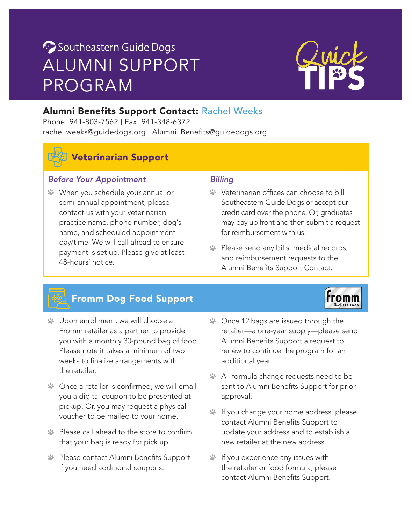# Southeastern Guide Dogs ALUMNI SUPPORT PROGRAM

# Alumni Benefits Support Contact: Rachel Weeks

Phone: 941-803-7562 | Fax: 941-348-6372 [rachel.weeks@guidedogs.org](mailto:rachel.weeks@guidedogs.org) | [Alumni\\_Benefits@guidedogs.org](mailto:Alumni_Benefits@guidedogs.org)



# Veterinarian Support

## *Before Your Appointment*

When you schedule your annual or semi-annual appointment, please contact us with your veterinarian practice name, phone number, dog's name, and scheduled appointment day/time. We will call ahead to ensure payment is set up. Please give at least 48-hours' notice.

## *Billing*

- Veterinarian offices can choose to bill Southeastern Guide Dogs or accept our credit card over the phone. Or, graduates may pay up front and then submit a request for reimbursement with us.
- Please send any bills, medical records, and reimbursement requests to the Alumni Benefits Support Contact.

# Fromm Dog Food Support

- Upon enrollment, we will choose a Fromm retailer as a partner to provide you with a monthly 30-pound bag of food. Please note it takes a minimum of two weeks to finalize arrangements with the retailer.
- $\blacktriangleright$  Once a retailer is confirmed, we will email you a digital coupon to be presented at pickup. Or, you may request a physical voucher to be mailed to your home.
- Please call ahead to the store to confirm that your bag is ready for pick up.
- **Please contact Alumni Benefits Support** if you need additional coupons.
- **S** Once 12 bags are issued through the retailer—a one-year supply—please send Alumni Benefits Support a request to renew to continue the program for an additional year.
- All formula change requests need to be sent to Alumni Benefits Support for prior approval.
- If you change your home address, please contact Alumni Benefits Support to update your address and to establish a new retailer at the new address.
- If you experience any issues with the retailer or food formula, please contact Alumni Benefits Support.